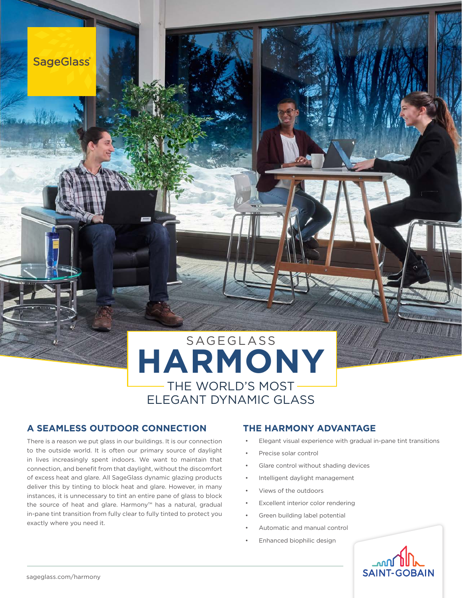

# SAGEGLASS **HARMONY** THE WORLD'S MOST ELEGANT DYNAMIC GLASS

### **A SEAMLESS OUTDOOR CONNECTION THE HARMONY ADVANTAGE**

There is a reason we put glass in our buildings. It is our connection to the outside world. It is often our primary source of daylight in lives increasingly spent indoors. We want to maintain that connection, and benefit from that daylight, without the discomfort of excess heat and glare. All SageGlass dynamic glazing products deliver this by tinting to block heat and glare. However, in many instances, it is unnecessary to tint an entire pane of glass to block the source of heat and glare. Harmony™ has a natural, gradual in-pane tint transition from fully clear to fully tinted to protect you exactly where you need it.

- Elegant visual experience with gradual in-pane tint transitions
- Precise solar control
- Glare control without shading devices
- Intelligent daylight management
- Views of the outdoors
- Excellent interior color rendering
- Green building label potential
- Automatic and manual control
- Enhanced biophilic design